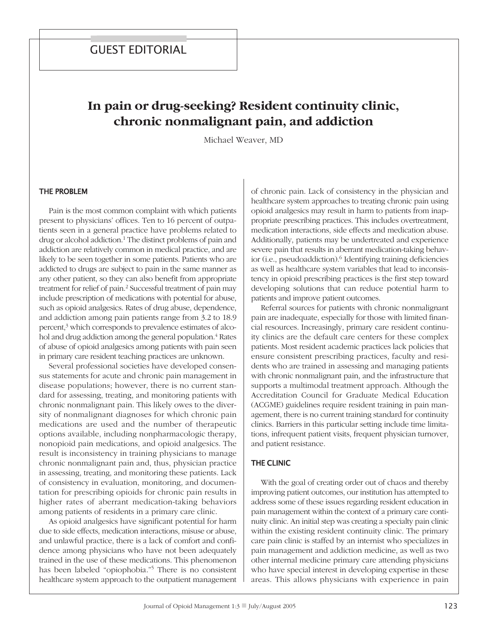# **In pain or drug-seeking? Resident continuity clinic, chronic nonmalignant pain, and addiction**

Michael Weaver, MD

#### the problem

Pain is the most common complaint with which patients present to physicians' offices. Ten to 16 percent of outpatients seen in a general practice have problems related to drug or alcohol addiction. <sup>1</sup> The distinct problems of pain and addiction are relatively common in medical practice, and are likely to be seen together in some patients. Patients who are addicted to drugs are subject to pain in the same manner as any other patient, so they can also benefit from appropriate treatment for relief of pain. <sup>2</sup> Successful treatment of pain may include prescription of medications with potential for abuse, such as opioid analgesics. Rates of drug abuse, dependence, and addiction among pain patients range from 3.2 to 18.9 percent, <sup>3</sup> which corresponds to prevalence estimates of alcohol and drug addiction among the general population. <sup>4</sup> Rates of abuse of opioid analgesics among patients with pain seen in primary care resident teaching practices are unknown.

Several professional societies have developed consensus statements for acute and chronic pain management in disease populations; however, there is no current standard for assessing, treating, and monitoring patients with chronic nonmalignant pain. This likely owes to the diversity of nonmalignant diagnoses for which chronic pain medications are used and the number of therapeutic options available, including nonpharmacologic therapy, nonopioid pain medications, and opioid analgesics. The result is inconsistency in training physicians to manage chronic nonmalignant pain and, thus, physician practice in assessing, treating, and monitoring these patients. Lack of consistency in evaluation, monitoring, and documentation for prescribing opioids for chronic pain results in higher rates of aberrant medication-taking behaviors among patients of residents in a primary care clinic.

As opioid analgesics have significant potential for harm due to side effects, medication interactions, misuse or abuse, and unlawful practice, there is a lack of comfort and confidence among physicians who have not been adequately trained in the use of these medications. This phenomenon has been labeled "opiophobia."<sup>5</sup> There is no consistent healthcare system approach to the outpatient management of chronic pain. Lack of consistency in the physician and healthcare system approaches to treating chronic pain using opioid analgesics may result in harm to patients from inappropriate prescribing practices. This includes overtreatment, medication interactions, side effects and medication abuse. Additionally, patients may be undertreated and experience severe pain that results in aberrant medication-taking behavior (i.e., pseudoaddiction). <sup>6</sup> Identifying training deficiencies as well as healthcare system variables that lead to inconsistency in opioid prescribing practices is the first step toward developing solutions that can reduce potential harm to patients and improve patient outcomes.

Referral sources for patients with chronic nonmalignant pain are inadequate, especially for those with limited financial resources. Increasingly, primary care resident continuity clinics are the default care centers for these complex patients. Most resident academic practices lack policies that ensure consistent prescribing practices, faculty and residents who are trained in assessing and managing patients with chronic nonmalignant pain, and the infrastructure that supports a multimodal treatment approach. Although the Accreditation Council for Graduate Medical Education (ACGME) guidelines require resident training in pain management, there is no current training standard for continuity clinics. Barriers in this particular setting include time limitations, infrequent patient visits, frequent physician turnover, and patient resistance.

## **THE CLINIC**

With the goal of creating order out of chaos and thereby improving patient outcomes, our institution has attempted to address some of these issues regarding resident education in pain management within the context of a primary care continuity clinic. An initial step was creating a specialty pain clinic within the existing resident continuity clinic. The primary care pain clinic is staffed by an internist who specializes in pain management and addiction medicine, as well as two other internal medicine primary care attending physicians who have special interest in developing expertise in these areas. This allows physicians with experience in pain